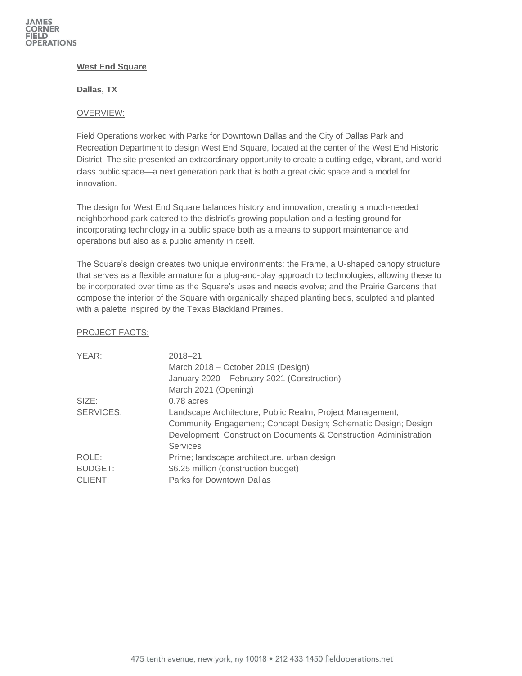

# **West End Square**

# **Dallas, TX**

# OVERVIEW:

Field Operations worked with Parks for Downtown Dallas and the City of Dallas Park and Recreation Department to design West End Square, located at the center of the West End Historic District. The site presented an extraordinary opportunity to create a cutting-edge, vibrant, and worldclass public space—a next generation park that is both a great civic space and a model for innovation.

The design for West End Square balances history and innovation, creating a much-needed neighborhood park catered to the district's growing population and a testing ground for incorporating technology in a public space both as a means to support maintenance and operations but also as a public amenity in itself.

The Square's design creates two unique environments: the Frame, a U-shaped canopy structure that serves as a flexible armature for a plug-and-play approach to technologies, allowing these to be incorporated over time as the Square's uses and needs evolve; and the Prairie Gardens that compose the interior of the Square with organically shaped planting beds, sculpted and planted with a palette inspired by the Texas Blackland Prairies.

#### PROJECT FACTS:

| YEAR:          | $2018 - 21$                                                       |
|----------------|-------------------------------------------------------------------|
|                | March 2018 – October 2019 (Design)                                |
|                | January 2020 - February 2021 (Construction)                       |
|                | March 2021 (Opening)                                              |
| SIZE:          | 0.78 acres                                                        |
| SERVICES:      | Landscape Architecture; Public Realm; Project Management;         |
|                | Community Engagement; Concept Design; Schematic Design; Design    |
|                | Development; Construction Documents & Construction Administration |
|                | <b>Services</b>                                                   |
| ROLE:          | Prime; landscape architecture, urban design                       |
| <b>BUDGET:</b> | \$6.25 million (construction budget)                              |
| <b>CLIENT:</b> | Parks for Downtown Dallas                                         |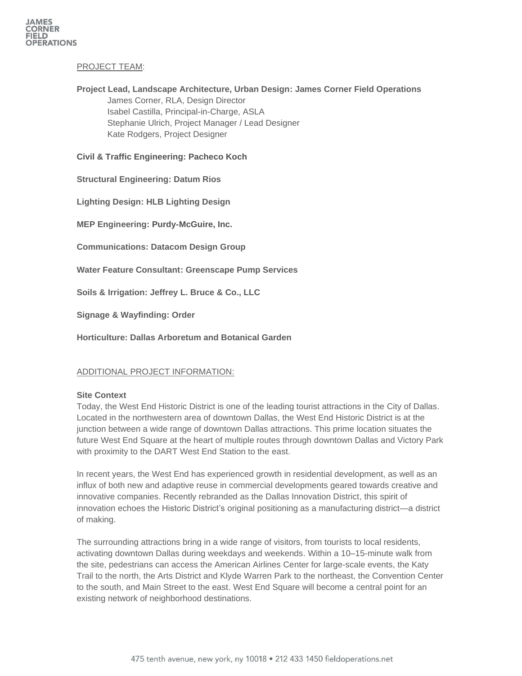# PROJECT TEAM:

**Project Lead, Landscape Architecture, Urban Design: James Corner Field Operations** James Corner, RLA, Design Director Isabel Castilla, Principal-in-Charge, ASLA Stephanie Ulrich, Project Manager / Lead Designer Kate Rodgers, Project Designer

#### **Civil & Traffic Engineering: Pacheco Koch**

**Structural Engineering: Datum Rios**

**Lighting Design: HLB Lighting Design**

**MEP Engineering: Purdy-McGuire, Inc.**

**Communications: Datacom Design Group**

**Water Feature Consultant: Greenscape Pump Services**

**Soils & Irrigation: Jeffrey L. Bruce & Co., LLC**

**Signage & Wayfinding: Order**

**Horticulture: Dallas Arboretum and Botanical Garden**

#### ADDITIONAL PROJECT INFORMATION:

#### **Site Context**

Today, the West End Historic District is one of the leading tourist attractions in the City of Dallas. Located in the northwestern area of downtown Dallas, the West End Historic District is at the junction between a wide range of downtown Dallas attractions. This prime location situates the future West End Square at the heart of multiple routes through downtown Dallas and Victory Park with proximity to the DART West End Station to the east.

In recent years, the West End has experienced growth in residential development, as well as an influx of both new and adaptive reuse in commercial developments geared towards creative and innovative companies. Recently rebranded as the Dallas Innovation District, this spirit of innovation echoes the Historic District's original positioning as a manufacturing district—a district of making.

The surrounding attractions bring in a wide range of visitors, from tourists to local residents, activating downtown Dallas during weekdays and weekends. Within a 10–15-minute walk from the site, pedestrians can access the American Airlines Center for large-scale events, the Katy Trail to the north, the Arts District and Klyde Warren Park to the northeast, the Convention Center to the south, and Main Street to the east. West End Square will become a central point for an existing network of neighborhood destinations.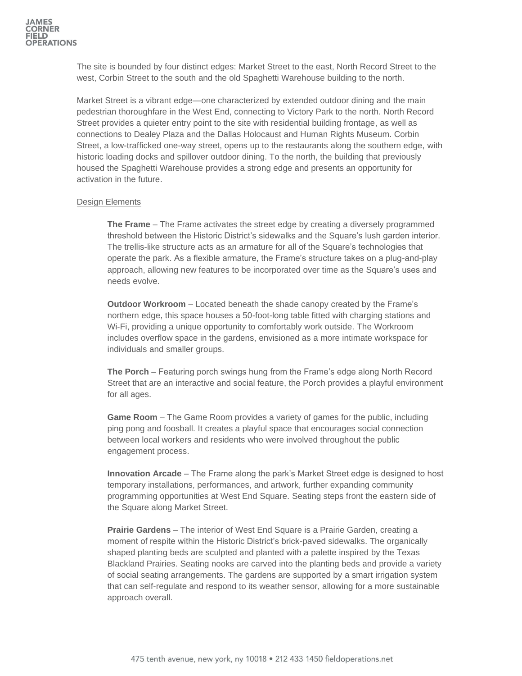The site is bounded by four distinct edges: Market Street to the east, North Record Street to the west, Corbin Street to the south and the old Spaghetti Warehouse building to the north.

Market Street is a vibrant edge—one characterized by extended outdoor dining and the main pedestrian thoroughfare in the West End, connecting to Victory Park to the north. North Record Street provides a quieter entry point to the site with residential building frontage, as well as connections to Dealey Plaza and the Dallas Holocaust and Human Rights Museum. Corbin Street, a low-trafficked one-way street, opens up to the restaurants along the southern edge, with historic loading docks and spillover outdoor dining. To the north, the building that previously housed the Spaghetti Warehouse provides a strong edge and presents an opportunity for activation in the future.

## Design Elements

**The Frame** – The Frame activates the street edge by creating a diversely programmed threshold between the Historic District's sidewalks and the Square's lush garden interior. The trellis-like structure acts as an armature for all of the Square's technologies that operate the park. As a flexible armature, the Frame's structure takes on a plug-and-play approach, allowing new features to be incorporated over time as the Square's uses and needs evolve.

**Outdoor Workroom** – Located beneath the shade canopy created by the Frame's northern edge, this space houses a 50-foot-long table fitted with charging stations and Wi-Fi, providing a unique opportunity to comfortably work outside. The Workroom includes overflow space in the gardens, envisioned as a more intimate workspace for individuals and smaller groups.

**The Porch** – Featuring porch swings hung from the Frame's edge along North Record Street that are an interactive and social feature, the Porch provides a playful environment for all ages.

**Game Room** – The Game Room provides a variety of games for the public, including ping pong and foosball. It creates a playful space that encourages social connection between local workers and residents who were involved throughout the public engagement process.

**Innovation Arcade** – The Frame along the park's Market Street edge is designed to host temporary installations, performances, and artwork, further expanding community programming opportunities at West End Square. Seating steps front the eastern side of the Square along Market Street.

**Prairie Gardens** – The interior of West End Square is a Prairie Garden, creating a moment of respite within the Historic District's brick-paved sidewalks. The organically shaped planting beds are sculpted and planted with a palette inspired by the Texas Blackland Prairies. Seating nooks are carved into the planting beds and provide a variety of social seating arrangements. The gardens are supported by a smart irrigation system that can self-regulate and respond to its weather sensor, allowing for a more sustainable approach overall.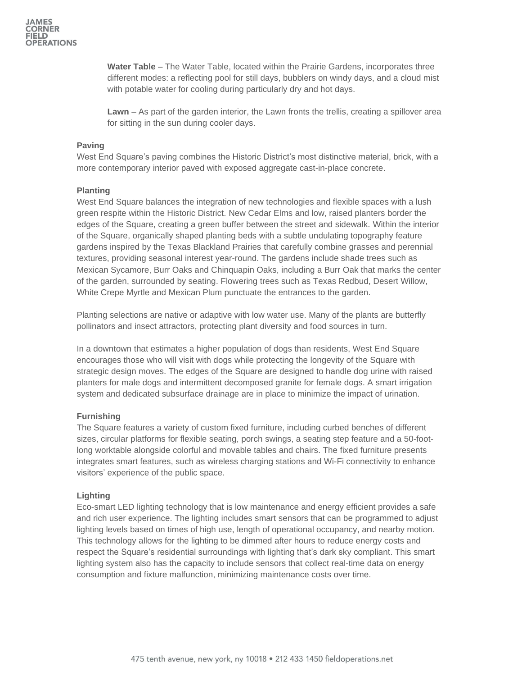**Water Table** – The Water Table, located within the Prairie Gardens, incorporates three different modes: a reflecting pool for still days, bubblers on windy days, and a cloud mist with potable water for cooling during particularly dry and hot days.

**Lawn** – As part of the garden interior, the Lawn fronts the trellis, creating a spillover area for sitting in the sun during cooler days.

#### **Paving**

West End Square's paving combines the Historic District's most distinctive material, brick, with a more contemporary interior paved with exposed aggregate cast-in-place concrete.

## **Planting**

West End Square balances the integration of new technologies and flexible spaces with a lush green respite within the Historic District. New Cedar Elms and low, raised planters border the edges of the Square, creating a green buffer between the street and sidewalk. Within the interior of the Square, organically shaped planting beds with a subtle undulating topography feature gardens inspired by the Texas Blackland Prairies that carefully combine grasses and perennial textures, providing seasonal interest year-round. The gardens include shade trees such as Mexican Sycamore, Burr Oaks and Chinquapin Oaks, including a Burr Oak that marks the center of the garden, surrounded by seating. Flowering trees such as Texas Redbud, Desert Willow, White Crepe Myrtle and Mexican Plum punctuate the entrances to the garden.

Planting selections are native or adaptive with low water use. Many of the plants are butterfly pollinators and insect attractors, protecting plant diversity and food sources in turn.

In a downtown that estimates a higher population of dogs than residents, West End Square encourages those who will visit with dogs while protecting the longevity of the Square with strategic design moves. The edges of the Square are designed to handle dog urine with raised planters for male dogs and intermittent decomposed granite for female dogs. A smart irrigation system and dedicated subsurface drainage are in place to minimize the impact of urination.

# **Furnishing**

The Square features a variety of custom fixed furniture, including curbed benches of different sizes, circular platforms for flexible seating, porch swings, a seating step feature and a 50-footlong worktable alongside colorful and movable tables and chairs. The fixed furniture presents integrates smart features, such as wireless charging stations and Wi-Fi connectivity to enhance visitors' experience of the public space.

# **Lighting**

Eco-smart LED lighting technology that is low maintenance and energy efficient provides a safe and rich user experience. The lighting includes smart sensors that can be programmed to adjust lighting levels based on times of high use, length of operational occupancy, and nearby motion. This technology allows for the lighting to be dimmed after hours to reduce energy costs and respect the Square's residential surroundings with lighting that's dark sky compliant. This smart lighting system also has the capacity to include sensors that collect real-time data on energy consumption and fixture malfunction, minimizing maintenance costs over time.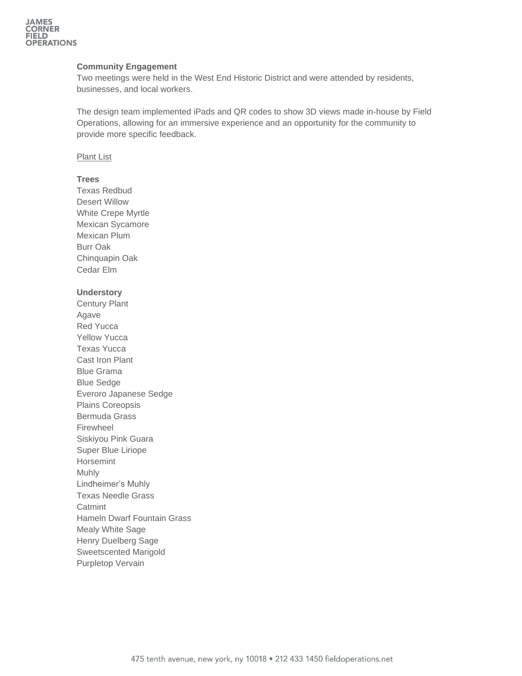

# **Community Engagement**

Two meetings were held in the West End Historic District and were attended by residents, businesses, and local workers.

The design team implemented iPads and QR codes to show 3D views made in-house by Field Operations, allowing for an immersive experience and an opportunity for the community to provide more specific feedback.

#### Plant List

#### **Trees**

Texas Redbud Desert Willow White Crepe Myrtle Mexican Sycamore Mexican Plum Burr Oak Chinquapin Oak Cedar Elm

# **Understory**

Century Plant Agave Red Yucca Yellow Yucca Texas Yucca Cast Iron Plant Blue Grama Blue Sedge Everoro Japanese Sedge Plains Coreopsis Bermuda Grass Firewheel Siskiyou Pink Guara Super Blue Liriope Horsemint Muhly Lindheimer's Muhly Texas Needle Grass **Catmint** Hameln Dwarf Fountain Grass Mealy White Sage Henry Duelberg Sage Sweetscented Marigold Purpletop Vervain